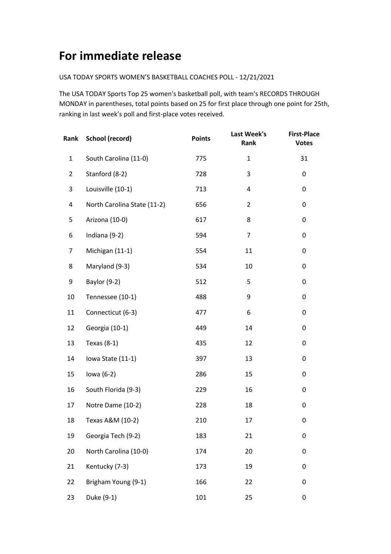## **For immediate release**

## USA TODAY SPORTS WOMEN'S BASKETBALL COACHES POLL - 12/21/2021

The USA TODAY Sports Top 25 women's basketball poll, with team's RECORDS THROUGH MONDAY in parentheses, total points based on 25 for first place through one point for 25th, ranking in last week's poll and first-place votes received.

| Rank           | School (record)             | <b>Points</b> | Last Week's<br>Rank | <b>First-Place</b><br><b>Votes</b> |
|----------------|-----------------------------|---------------|---------------------|------------------------------------|
| $\mathbf{1}$   | South Carolina (11-0)       | 775           | $\mathbf{1}$        | 31                                 |
| $\overline{2}$ | Stanford (8-2)              | 728           | 3                   | 0                                  |
| 3              | Louisville (10-1)           | 713           | 4                   | 0                                  |
| 4              | North Carolina State (11-2) | 656           | $\overline{2}$      | 0                                  |
| 5              | Arizona (10-0)              | 617           | 8                   | 0                                  |
| 6              | Indiana (9-2)               | 594           | $\overline{7}$      | 0                                  |
| 7              | Michigan (11-1)             | 554           | 11                  | 0                                  |
| 8              | Maryland (9-3)              | 534           | 10                  | 0                                  |
| 9              | Baylor (9-2)                | 512           | 5                   | 0                                  |
| 10             | Tennessee (10-1)            | 488           | 9                   | 0                                  |
| 11             | Connecticut (6-3)           | 477           | 6                   | 0                                  |
| 12             | Georgia (10-1)              | 449           | 14                  | 0                                  |
| 13             | Texas (8-1)                 | 435           | 12                  | 0                                  |
| 14             | Iowa State (11-1)           | 397           | 13                  | 0                                  |
| 15             | lowa $(6-2)$                | 286           | 15                  | 0                                  |
| 16             | South Florida (9-3)         | 229           | 16                  | 0                                  |
| 17             | Notre Dame (10-2)           | 228           | 18                  | 0                                  |
| 18             | Texas A&M (10-2)            | 210           | 17                  | 0                                  |
| 19             | Georgia Tech (9-2)          | 183           | 21                  | 0                                  |
| 20             | North Carolina (10-0)       | 174           | 20                  | 0                                  |
| 21             | Kentucky (7-3)              | 173           | 19                  | 0                                  |
| 22             | Brigham Young (9-1)         | 166           | 22                  | 0                                  |
| 23             | Duke (9-1)                  | 101           | 25                  | 0                                  |